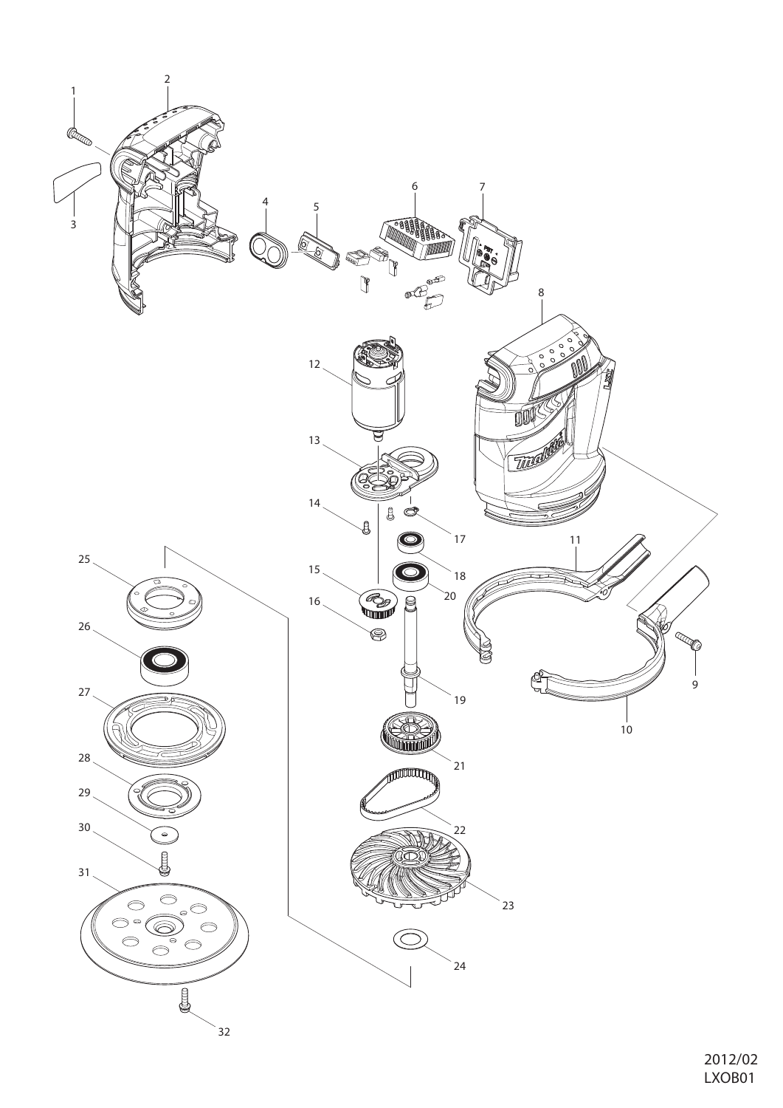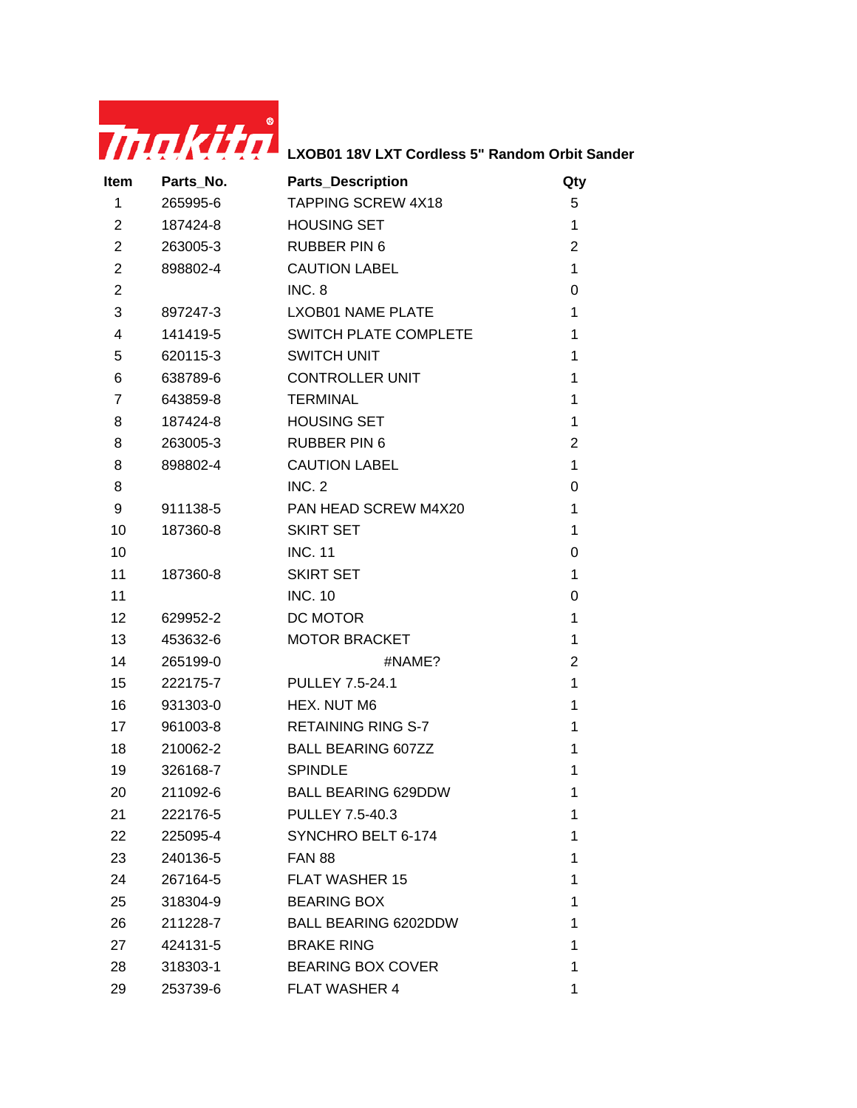

| Item                    | Parts_No. | <b>Parts_Description</b>     | Qty            |
|-------------------------|-----------|------------------------------|----------------|
| 1                       | 265995-6  | <b>TAPPING SCREW 4X18</b>    | 5              |
| $\overline{2}$          | 187424-8  | <b>HOUSING SET</b>           | $\mathbf{1}$   |
| $\overline{2}$          | 263005-3  | <b>RUBBER PIN 6</b>          | $\overline{2}$ |
| $\overline{2}$          | 898802-4  | <b>CAUTION LABEL</b>         | $\mathbf{1}$   |
| $\overline{2}$          |           | INC. 8                       | 0              |
| 3                       | 897247-3  | <b>LXOB01 NAME PLATE</b>     | 1              |
| $\overline{\mathbf{4}}$ | 141419-5  | <b>SWITCH PLATE COMPLETE</b> | 1              |
| 5                       | 620115-3  | <b>SWITCH UNIT</b>           | 1              |
| 6                       | 638789-6  | <b>CONTROLLER UNIT</b>       | 1              |
| 7                       | 643859-8  | <b>TERMINAL</b>              | 1              |
| 8                       | 187424-8  | <b>HOUSING SET</b>           | 1              |
| 8                       | 263005-3  | <b>RUBBER PIN 6</b>          | $\overline{2}$ |
| 8                       | 898802-4  | <b>CAUTION LABEL</b>         | $\mathbf 1$    |
| 8                       |           | <b>INC. 2</b>                | 0              |
| 9                       | 911138-5  | PAN HEAD SCREW M4X20         | $\mathbf{1}$   |
| 10                      | 187360-8  | <b>SKIRT SET</b>             | 1              |
| 10                      |           | <b>INC. 11</b>               | 0              |
| 11                      | 187360-8  | <b>SKIRT SET</b>             | 1              |
| 11                      |           | <b>INC. 10</b>               | 0              |
| 12                      | 629952-2  | DC MOTOR                     | $\mathbf{1}$   |
| 13                      | 453632-6  | <b>MOTOR BRACKET</b>         | 1              |
| 14                      | 265199-0  | #NAME?                       | $\overline{2}$ |
| 15                      | 222175-7  | <b>PULLEY 7.5-24.1</b>       | $\mathbf 1$    |
| 16                      | 931303-0  | HEX. NUT M6                  | 1              |
| 17                      | 961003-8  | <b>RETAINING RING S-7</b>    | 1              |
| 18                      | 210062-2  | <b>BALL BEARING 607ZZ</b>    | 1              |
| 19                      | 326168-7  | <b>SPINDLE</b>               | 1              |
| 20                      | 211092-6  | <b>BALL BEARING 629DDW</b>   | 1              |
| 21                      | 222176-5  | <b>PULLEY 7.5-40.3</b>       | 1              |
| 22                      | 225095-4  | SYNCHRO BELT 6-174           | 1              |
| 23                      | 240136-5  | <b>FAN 88</b>                | 1              |
| 24                      | 267164-5  | <b>FLAT WASHER 15</b>        | 1              |
| 25                      | 318304-9  | <b>BEARING BOX</b>           | 1              |
| 26                      | 211228-7  | <b>BALL BEARING 6202DDW</b>  | 1              |
| 27                      | 424131-5  | <b>BRAKE RING</b>            | 1              |
| 28                      | 318303-1  | <b>BEARING BOX COVER</b>     | 1              |
| 29                      | 253739-6  | <b>FLAT WASHER 4</b>         | 1              |